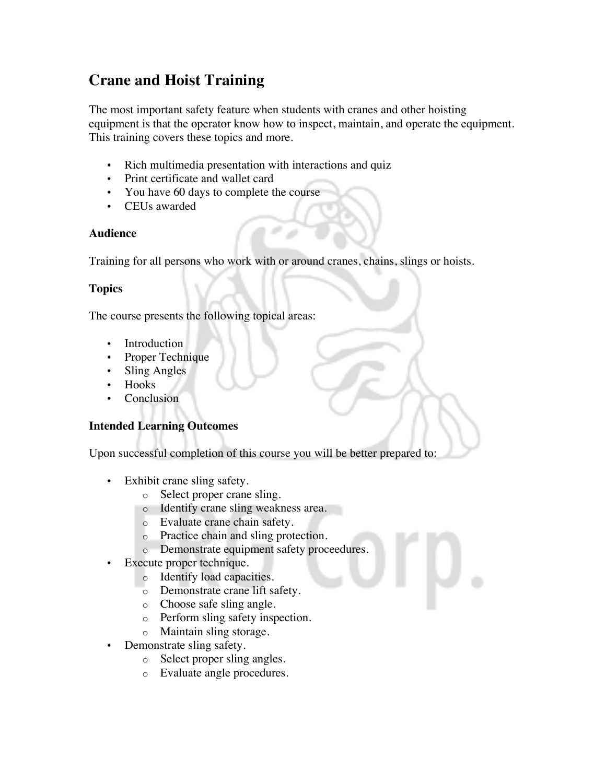# **Crane and Hoist Training**

The most important safety feature when students with cranes and other hoisting equipment is that the operator know how to inspect, maintain, and operate the equipment. This training covers these topics and more.

- Rich multimedia presentation with interactions and quiz
- Print certificate and wallet card
- You have 60 days to complete the course
- CEUs awarded

#### **Audience**

Training for all persons who work with or around cranes, chains, slings or hoists.

## **Topics**

The course presents the following topical areas:

- Introduction
- Proper Technique
- Sling Angles
- Hooks
- **Conclusion**

## **Intended Learning Outcomes**

Upon successful completion of this course you will be better prepared to:

- Exhibit crane sling safety.
	- o Select proper crane sling.
	- o Identify crane sling weakness area.
	- o Evaluate crane chain safety.
	- o Practice chain and sling protection.
	- o Demonstrate equipment safety proceedures.
- Execute proper technique.
	- o Identify load capacities.
	- o Demonstrate crane lift safety.
	- o Choose safe sling angle.
	- o Perform sling safety inspection.
	- o Maintain sling storage.
- Demonstrate sling safety.
	- o Select proper sling angles.
	- o Evaluate angle procedures.